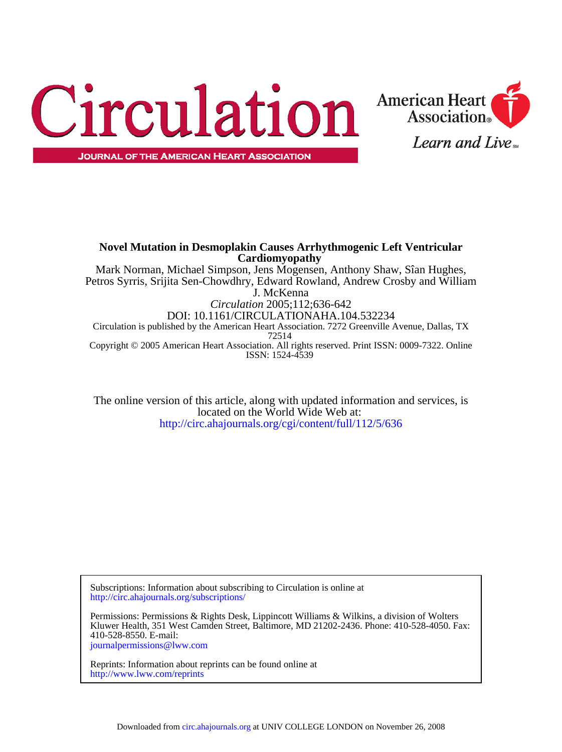



ISSN: 1524-4539 Copyright © 2005 American Heart Association. All rights reserved. Print ISSN: 0009-7322. Online 72514 Circulation is published by the American Heart Association. 7272 Greenville Avenue, Dallas, TX DOI: 10.1161/CIRCULATIONAHA.104.532234 *Circulation* 2005;112;636-642 J. McKenna Petros Syrris, Srijita Sen-Chowdhry, Edward Rowland, Andrew Crosby and William Mark Norman, Michael Simpson, Jens Mogensen, Anthony Shaw, Sîan Hughes, **Cardiomyopathy Novel Mutation in Desmoplakin Causes Arrhythmogenic Left Ventricular**

<http://circ.ahajournals.org/cgi/content/full/112/5/636> located on the World Wide Web at: The online version of this article, along with updated information and services, is

<http://circ.ahajournals.org/subscriptions/> Subscriptions: Information about subscribing to Circulation is online at

[journalpermissions@lww.com](mailto:journalpermissions@lww.com) 410-528-8550. E-mail: Kluwer Health, 351 West Camden Street, Baltimore, MD 21202-2436. Phone: 410-528-4050. Fax: Permissions: Permissions & Rights Desk, Lippincott Williams & Wilkins, a division of Wolters

<http://www.lww.com/reprints> Reprints: Information about reprints can be found online at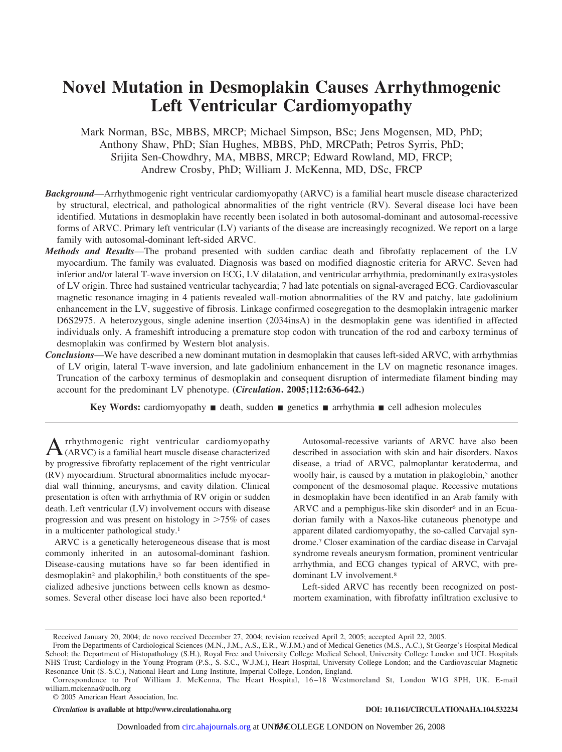# **Novel Mutation in Desmoplakin Causes Arrhythmogenic Left Ventricular Cardiomyopathy**

Mark Norman, BSc, MBBS, MRCP; Michael Simpson, BSc; Jens Mogensen, MD, PhD; Anthony Shaw, PhD; Sîan Hughes, MBBS, PhD, MRCPath; Petros Syrris, PhD; Srijita Sen-Chowdhry, MA, MBBS, MRCP; Edward Rowland, MD, FRCP; Andrew Crosby, PhD; William J. McKenna, MD, DSc, FRCP

- *Background*—Arrhythmogenic right ventricular cardiomyopathy (ARVC) is a familial heart muscle disease characterized by structural, electrical, and pathological abnormalities of the right ventricle (RV). Several disease loci have been identified. Mutations in desmoplakin have recently been isolated in both autosomal-dominant and autosomal-recessive forms of ARVC. Primary left ventricular (LV) variants of the disease are increasingly recognized. We report on a large family with autosomal-dominant left-sided ARVC.
- *Methods and Results*—The proband presented with sudden cardiac death and fibrofatty replacement of the LV myocardium. The family was evaluated. Diagnosis was based on modified diagnostic criteria for ARVC. Seven had inferior and/or lateral T-wave inversion on ECG, LV dilatation, and ventricular arrhythmia, predominantly extrasystoles of LV origin. Three had sustained ventricular tachycardia; 7 had late potentials on signal-averaged ECG. Cardiovascular magnetic resonance imaging in 4 patients revealed wall-motion abnormalities of the RV and patchy, late gadolinium enhancement in the LV, suggestive of fibrosis. Linkage confirmed cosegregation to the desmoplakin intragenic marker D6S2975. A heterozygous, single adenine insertion (2034insA) in the desmoplakin gene was identified in affected individuals only. A frameshift introducing a premature stop codon with truncation of the rod and carboxy terminus of desmoplakin was confirmed by Western blot analysis.
- *Conclusions*—We have described a new dominant mutation in desmoplakin that causes left-sided ARVC, with arrhythmias of LV origin, lateral T-wave inversion, and late gadolinium enhancement in the LV on magnetic resonance images. Truncation of the carboxy terminus of desmoplakin and consequent disruption of intermediate filament binding may account for the predominant LV phenotype. **(***Circulation***. 2005;112:636-642.)**

**Key Words:** cardiomyopathy  $\blacksquare$  death, sudden  $\blacksquare$  genetics  $\blacksquare$  arrhythmia  $\blacksquare$  cell adhesion molecules

A rrhythmogenic right ventricular cardiomyopathy<br>(ARVC) is a familial heart muscle disease characterized by progressive fibrofatty replacement of the right ventricular (RV) myocardium. Structural abnormalities include myocardial wall thinning, aneurysms, and cavity dilation. Clinical presentation is often with arrhythmia of RV origin or sudden death. Left ventricular (LV) involvement occurs with disease progression and was present on histology in  $>75\%$  of cases in a multicenter pathological study.1

ARVC is a genetically heterogeneous disease that is most commonly inherited in an autosomal-dominant fashion. Disease-causing mutations have so far been identified in desmoplakin2 and plakophilin,3 both constituents of the specialized adhesive junctions between cells known as desmosomes. Several other disease loci have also been reported.4

Autosomal-recessive variants of ARVC have also been described in association with skin and hair disorders. Naxos disease, a triad of ARVC, palmoplantar keratoderma, and woolly hair, is caused by a mutation in plakoglobin,<sup>5</sup> another component of the desmosomal plaque. Recessive mutations in desmoplakin have been identified in an Arab family with ARVC and a pemphigus-like skin disorder<sup>6</sup> and in an Ecuadorian family with a Naxos-like cutaneous phenotype and apparent dilated cardiomyopathy, the so-called Carvajal syndrome.7 Closer examination of the cardiac disease in Carvajal syndrome reveals aneurysm formation, prominent ventricular arrhythmia, and ECG changes typical of ARVC, with predominant LV involvement.8

Left-sided ARVC has recently been recognized on postmortem examination, with fibrofatty infiltration exclusive to

© 2005 American Heart Association, Inc.

*Circulation* **is available at http://www.circulationaha.org DOI: 10.1161/CIRCULATIONAHA.104.532234**

Received January 20, 2004; de novo received December 27, 2004; revision received April 2, 2005; accepted April 22, 2005.

From the Departments of Cardiological Sciences (M.N., J.M., A.S., E.R., W.J.M.) and of Medical Genetics (M.S., A.C.), St George's Hospital Medical School; the Department of Histopathology (S.H.), Royal Free and University College Medical School, University College London and UCL Hospitals NHS Trust; Cardiology in the Young Program (P.S., S.-S.C., W.J.M.), Heart Hospital, University College London; and the Cardiovascular Magnetic Resonance Unit (S.-S.C.), National Heart and Lung Institute, Imperial College, London, England.

Correspondence to Prof William J. McKenna, The Heart Hospital, 16 –18 Westmoreland St, London W1G 8PH, UK. E-mail william.mckenna@uclh.org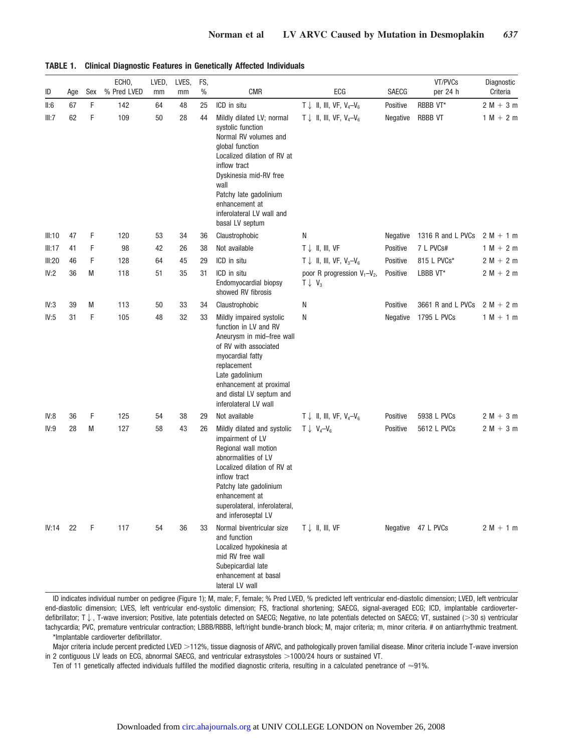| ID     | Age | Sex | ECHO,<br>% Pred LVED | LVED,<br>mm | LVES,<br>mm | FS,<br>$\%$ | <b>CMR</b>                                                                                                                                                                                                                                                              | ECG                                                        | SAECG           | VT/PVCs<br>per 24 h | Diagnostic<br>Criteria |
|--------|-----|-----|----------------------|-------------|-------------|-------------|-------------------------------------------------------------------------------------------------------------------------------------------------------------------------------------------------------------------------------------------------------------------------|------------------------------------------------------------|-----------------|---------------------|------------------------|
| II:6   | 67  | F   | 142                  | 64          | 48          | 25          | ICD in situ                                                                                                                                                                                                                                                             | $T \downarrow$ II, III, VF, V <sub>4</sub> -V <sub>6</sub> | Positive        | RBBB VT*            | $2 M + 3 m$            |
| III:7  | 62  | F   | 109                  | 50          | 28          | 44          | Mildly dilated LV; normal<br>systolic function<br>Normal RV volumes and<br>global function<br>Localized dilation of RV at<br>inflow tract<br>Dyskinesia mid-RV free<br>wall<br>Patchy late gadolinium<br>enhancement at<br>inferolateral LV wall and<br>basal LV septum | $T \downarrow$ II, III, VF, V <sub>4</sub> -V <sub>6</sub> | Negative        | <b>RBBB VT</b>      | $1 M + 2 m$            |
| III:10 | 47  | F   | 120                  | 53          | 34          | 36          | Claustrophobic                                                                                                                                                                                                                                                          | N                                                          | <b>Negative</b> | 1316 R and L PVCs   | $2 M + 1 m$            |
| III:17 | 41  | F   | 98                   | 42          | 26          | 38          | Not available                                                                                                                                                                                                                                                           | $T \downarrow$ II, III, VF                                 | Positive        | 7 L PVCs#           | $1 M + 2 m$            |
| III:20 | 46  | F   | 128                  | 64          | 45          | 29          | ICD in situ                                                                                                                                                                                                                                                             | $T \downarrow$ II, III, VF, V <sub>3</sub> -V <sub>6</sub> | Positive        | 815 L PVCs*         | $2 M + 2 m$            |
| IV:2   | 36  | M   | 118                  | 51          | 35          | 31          | ICD in situ<br>Endomyocardial biopsy<br>showed RV fibrosis                                                                                                                                                                                                              | poor R progression $V_1 - V_2$ ,<br>$T \downarrow V_3$     | Positive        | LBBB VT*            | $2 M + 2 m$            |
| IV:3   | 39  | M   | 113                  | 50          | 33          | 34          | Claustrophobic                                                                                                                                                                                                                                                          | Ν                                                          | Positive        | 3661 R and L PVCs   | $2 M + 2 m$            |
| IV:5   | 31  | F   | 105                  | 48          | 32          | 33          | N<br>Mildly impaired systolic<br>function in LV and RV<br>Aneurysm in mid-free wall<br>of RV with associated<br>myocardial fatty<br>replacement<br>Late gadolinium<br>enhancement at proximal<br>and distal LV septum and<br>inferolateral LV wall                      |                                                            | Negative        | 1795 L PVCs         | $1 M + 1 m$            |
| IV:8   | 36  | F   | 125                  | 54          | 38          | 29          | Not available                                                                                                                                                                                                                                                           | $T \downarrow$ II, III, VF, V <sub>4</sub> -V <sub>6</sub> | Positive        | 5938 L PVCs         | $2 M + 3 m$            |
| IV:9   | 28  | M   | 127                  | 58          | 43          | 26          | Mildly dilated and systolic<br>impairment of LV<br>Regional wall motion<br>abnormalities of LV<br>Localized dilation of RV at<br>inflow tract<br>Patchy late gadolinium<br>enhancement at<br>superolateral, inferolateral,<br>and inferoseptal LV                       | $T \downarrow V_4 - V_6$                                   | Positive        | 5612 L PVCs         | $2 M + 3 m$            |
| IV:14  | 22  | F   | 117                  | 54          | 36          | 33          | Normal biventricular size<br>and function<br>Localized hypokinesia at<br>mid RV free wall<br>Subepicardial late<br>enhancement at basal<br>lateral LV wall                                                                                                              | T ↓ II, III, VF                                            | Negative        | 47 L PVCs           | $2 M + 1 m$            |

# **TABLE 1. Clinical Diagnostic Features in Genetically Affected Individuals**

ID indicates individual number on pedigree (Figure 1); M, male; F, female; % Pred LVED, % predicted left ventricular end-diastolic dimension; LVED, left ventricular end-diastolic dimension; LVES, left ventricular end-systolic dimension; FS, fractional shortening; SAECG, signal-averaged ECG; ICD, implantable cardioverterdefibrillator; T  $\downarrow$ , T-wave inversion; Positive, late potentials detected on SAECG; Negative, no late potentials detected on SAECG; VT, sustained (>30 s) ventricular tachycardia; PVC, premature ventricular contraction; LBBB/RBBB, left/right bundle-branch block; M, major criteria; m, minor criteria. # on antiarrhythmic treatment. \*Implantable cardioverter defibrillator.

Major criteria include percent predicted LVED >112%, tissue diagnosis of ARVC, and pathologically proven familial disease. Minor criteria include T-wave inversion in 2 contiguous LV leads on ECG, abnormal SAECG, and ventricular extrasystoles >1000/24 hours or sustained VT.

Ten of 11 genetically affected individuals fulfilled the modified diagnostic criteria, resulting in a calculated penetrance of  $\approx$ 91%.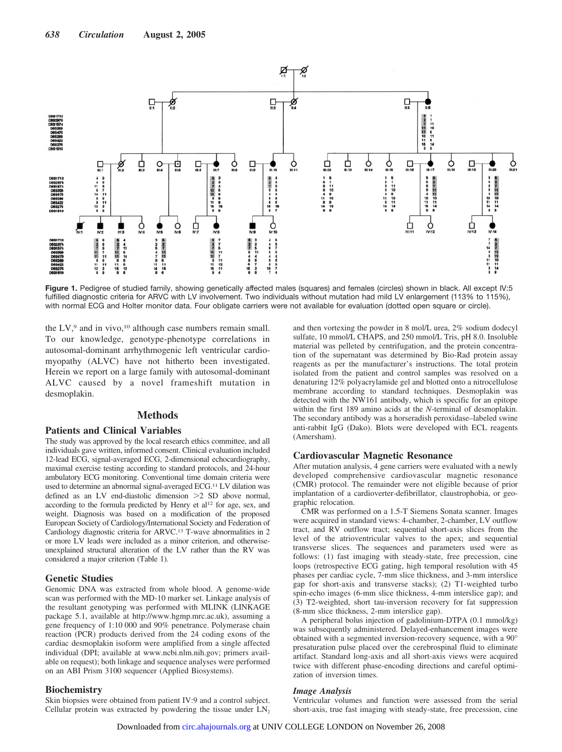

Figure 1. Pedigree of studied family, showing genetically affected males (squares) and females (circles) shown in black. All except IV:5 fulfilled diagnostic criteria for ARVC with LV involvement. Two individuals without mutation had mild LV enlargement (113% to 115%), with normal ECG and Holter monitor data. Four obligate carriers were not available for evaluation (dotted open square or circle).

the  $LV$ ,<sup>9</sup> and in vivo,<sup>10</sup> although case numbers remain small. To our knowledge, genotype-phenotype correlations in autosomal-dominant arrhythmogenic left ventricular cardiomyopathy (ALVC) have not hitherto been investigated. Herein we report on a large family with autosomal-dominant ALVC caused by a novel frameshift mutation in desmoplakin.

# **Methods**

### **Patients and Clinical Variables**

The study was approved by the local research ethics committee, and all individuals gave written, informed consent. Clinical evaluation included 12-lead ECG, signal-averaged ECG, 2-dimensional echocardiography, maximal exercise testing according to standard protocols, and 24-hour ambulatory ECG monitoring. Conventional time domain criteria were used to determine an abnormal signal-averaged ECG.11 LV dilation was defined as an LV end-diastolic dimension 2 SD above normal, according to the formula predicted by Henry et al<sup>12</sup> for age, sex, and weight. Diagnosis was based on a modification of the proposed European Society of Cardiology/International Society and Federation of Cardiology diagnostic criteria for ARVC.13 T-wave abnormalities in 2 or more LV leads were included as a minor criterion, and otherwiseunexplained structural alteration of the LV rather than the RV was considered a major criterion (Table 1).

#### **Genetic Studies**

Genomic DNA was extracted from whole blood. A genome-wide scan was performed with the MD-10 marker set. Linkage analysis of the resultant genotyping was performed with MLINK (LINKAGE package 5.1, available at http://www.hgmp.mrc.ac.uk), assuming a gene frequency of 1:10 000 and 90% penetrance. Polymerase chain reaction (PCR) products derived from the 24 coding exons of the cardiac desmoplakin isoform were amplified from a single affected individual (DPI; available at www.ncbi.nlm.nih.gov; primers available on request); both linkage and sequence analyses were performed on an ABI Prism 3100 sequencer (Applied Biosystems).

#### **Biochemistry**

Skin biopsies were obtained from patient IV:9 and a control subject. Cellular protein was extracted by powdering the tissue under  $LN<sub>2</sub>$ 

and then vortexing the powder in 8 mol/L urea, 2% sodium dodecyl sulfate, 10 mmol/L CHAPS, and 250 mmol/L Tris, pH 8.0. Insoluble material was pelleted by centrifugation, and the protein concentration of the supernatant was determined by Bio-Rad protein assay reagents as per the manufacturer's instructions. The total protein isolated from the patient and control samples was resolved on a denaturing 12% polyacrylamide gel and blotted onto a nitrocellulose membrane according to standard techniques. Desmoplakin was detected with the NW161 antibody, which is specific for an epitope within the first 189 amino acids at the *N*-terminal of desmoplakin. The secondary antibody was a horseradish peroxidase–labeled swine anti-rabbit IgG (Dako). Blots were developed with ECL reagents (Amersham).

#### **Cardiovascular Magnetic Resonance**

After mutation analysis, 4 gene carriers were evaluated with a newly developed comprehensive cardiovascular magnetic resonance (CMR) protocol. The remainder were not eligible because of prior implantation of a cardioverter-defibrillator, claustrophobia, or geographic relocation.

CMR was performed on a 1.5-T Siemens Sonata scanner. Images were acquired in standard views: 4-chamber, 2-chamber, LV outflow tract, and RV outflow tract; sequential short-axis slices from the level of the atrioventricular valves to the apex; and sequential transverse slices. The sequences and parameters used were as follows: (1) fast imaging with steady-state, free precession, cine loops (retrospective ECG gating, high temporal resolution with 45 phases per cardiac cycle, 7-mm slice thickness, and 3-mm interslice gap for short-axis and transverse stacks); (2) T1-weighted turbo spin-echo images (6-mm slice thickness, 4-mm interslice gap); and (3) T2-weighted, short tau-inversion recovery for fat suppression (8-mm slice thickness, 2-mm interslice gap).

A peripheral bolus injection of gadolinium-DTPA (0.1 mmol/kg) was subsequently administered. Delayed-enhancement images were obtained with a segmented inversion-recovery sequence, with a 90° presaturation pulse placed over the cerebrospinal fluid to eliminate artifact. Standard long-axis and all short-axis views were acquired twice with different phase-encoding directions and careful optimization of inversion times.

#### *Image Analysis*

Ventricular volumes and function were assessed from the serial short-axis, true fast imaging with steady-state, free precession, cine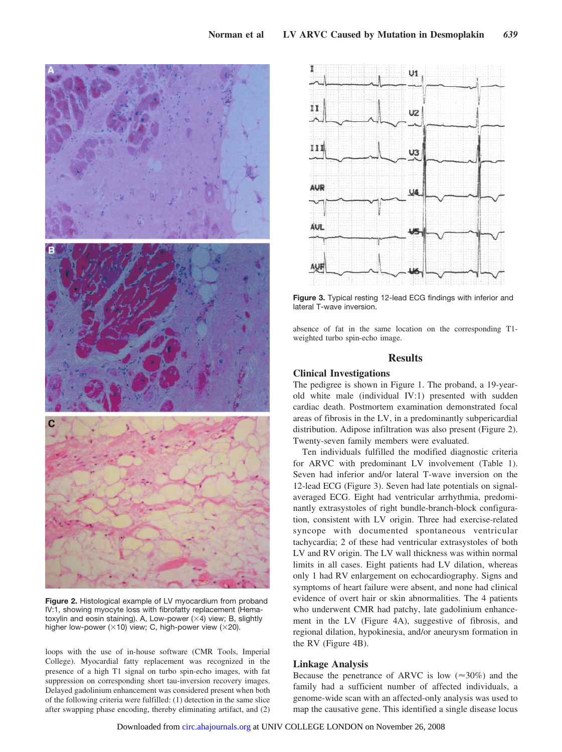

**Figure 2.** Histological example of LV myocardium from proband IV:1, showing myocyte loss with fibrofatty replacement (Hematoxylin and eosin staining). A, Low-power  $(X4)$  view; B, slightly higher low-power ( $\times$ 10) view; C, high-power view ( $\times$ 20).

loops with the use of in-house software (CMR Tools, Imperial College). Myocardial fatty replacement was recognized in the presence of a high T1 signal on turbo spin-echo images, with fat suppression on corresponding short tau-inversion recovery images. Delayed gadolinium enhancement was considered present when both of the following criteria were fulfilled: (1) detection in the same slice after swapping phase encoding, thereby eliminating artifact, and (2)



**Figure 3.** Typical resting 12-lead ECG findings with inferior and lateral T-wave inversion.

absence of fat in the same location on the corresponding T1 weighted turbo spin-echo image.

# **Results**

# **Clinical Investigations**

The pedigree is shown in Figure 1. The proband, a 19-yearold white male (individual IV:1) presented with sudden cardiac death. Postmortem examination demonstrated focal areas of fibrosis in the LV, in a predominantly subpericardial distribution. Adipose infiltration was also present (Figure 2). Twenty-seven family members were evaluated.

Ten individuals fulfilled the modified diagnostic criteria for ARVC with predominant LV involvement (Table 1). Seven had inferior and/or lateral T-wave inversion on the 12-lead ECG (Figure 3). Seven had late potentials on signalaveraged ECG. Eight had ventricular arrhythmia, predominantly extrasystoles of right bundle-branch-block configuration, consistent with LV origin. Three had exercise-related syncope with documented spontaneous ventricular tachycardia; 2 of these had ventricular extrasystoles of both LV and RV origin. The LV wall thickness was within normal limits in all cases. Eight patients had LV dilation, whereas only 1 had RV enlargement on echocardiography. Signs and symptoms of heart failure were absent, and none had clinical evidence of overt hair or skin abnormalities. The 4 patients who underwent CMR had patchy, late gadolinium enhancement in the LV (Figure 4A), suggestive of fibrosis, and regional dilation, hypokinesia, and/or aneurysm formation in the RV (Figure 4B).

# **Linkage Analysis**

Because the penetrance of ARVC is low  $(\approx 30\%)$  and the family had a sufficient number of affected individuals, a genome-wide scan with an affected-only analysis was used to map the causative gene. This identified a single disease locus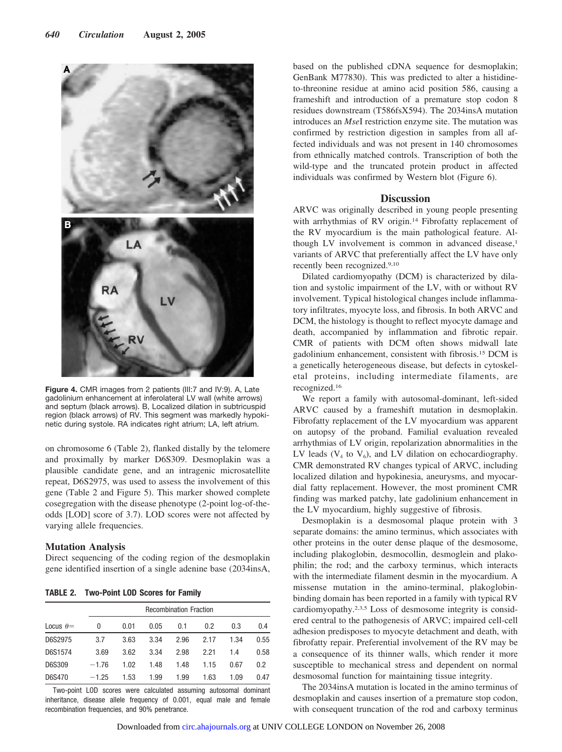

**Figure 4.** CMR images from 2 patients (III:7 and IV:9). A, Late gadolinium enhancement at inferolateral LV wall (white arrows) and septum (black arrows). B, Localized dilation in subtricuspid region (black arrows) of RV. This segment was markedly hypokinetic during systole. RA indicates right atrium; LA, left atrium.

on chromosome 6 (Table 2), flanked distally by the telomere and proximally by marker D6S309. Desmoplakin was a plausible candidate gene, and an intragenic microsatellite repeat, D6S2975, was used to assess the involvement of this gene (Table 2 and Figure 5). This marker showed complete cosegregation with the disease phenotype (2-point log-of-theodds [LOD] score of 3.7). LOD scores were not affected by varying allele frequencies.

## **Mutation Analysis**

Direct sequencing of the coding region of the desmoplakin gene identified insertion of a single adenine base (2034insA,

**TABLE 2. Two-Point LOD Scores for Family**

|                  |         | <b>Recombination Fraction</b> |      |      |      |      |      |  |  |  |
|------------------|---------|-------------------------------|------|------|------|------|------|--|--|--|
| Locus $\theta =$ | 0       | 0.01                          | 0.05 | 0.1  | 0.2  | 0.3  | 0.4  |  |  |  |
| D6S2975          | 3.7     | 3.63                          | 3.34 | 2.96 | 2.17 | 1.34 | 0.55 |  |  |  |
| D6S1574          | 3.69    | 3.62                          | 3.34 | 2.98 | 2.21 | 1.4  | 0.58 |  |  |  |
| D6S309           | $-1.76$ | 1.02                          | 1.48 | 1.48 | 1.15 | 0.67 | 0.2  |  |  |  |
| D6S470           | $-1.25$ | 1.53                          | 1.99 | 1.99 | 1.63 | 1.09 | 0.47 |  |  |  |

Two-point LOD scores were calculated assuming autosomal dominant inheritance, disease allele frequency of 0.001, equal male and female recombination frequencies, and 90% penetrance.

based on the published cDNA sequence for desmoplakin; GenBank M77830). This was predicted to alter a histidineto-threonine residue at amino acid position 586, causing a frameshift and introduction of a premature stop codon 8 residues downstream (T586fsX594). The 2034insA mutation introduces an *Mse*I restriction enzyme site. The mutation was confirmed by restriction digestion in samples from all affected individuals and was not present in 140 chromosomes from ethnically matched controls. Transcription of both the wild-type and the truncated protein product in affected individuals was confirmed by Western blot (Figure 6).

## **Discussion**

ARVC was originally described in young people presenting with arrhythmias of RV origin.14 Fibrofatty replacement of the RV myocardium is the main pathological feature. Although LV involvement is common in advanced disease,<sup>1</sup> variants of ARVC that preferentially affect the LV have only recently been recognized.9,10

Dilated cardiomyopathy (DCM) is characterized by dilation and systolic impairment of the LV, with or without RV involvement. Typical histological changes include inflammatory infiltrates, myocyte loss, and fibrosis. In both ARVC and DCM, the histology is thought to reflect myocyte damage and death, accompanied by inflammation and fibrotic repair. CMR of patients with DCM often shows midwall late gadolinium enhancement, consistent with fibrosis.15 DCM is a genetically heterogeneous disease, but defects in cytoskeletal proteins, including intermediate filaments, are recognized.16

We report a family with autosomal-dominant, left-sided ARVC caused by a frameshift mutation in desmoplakin. Fibrofatty replacement of the LV myocardium was apparent on autopsy of the proband. Familial evaluation revealed arrhythmias of LV origin, repolarization abnormalities in the LV leads  $(V_4$  to  $V_6)$ , and LV dilation on echocardiography. CMR demonstrated RV changes typical of ARVC, including localized dilation and hypokinesia, aneurysms, and myocardial fatty replacement. However, the most prominent CMR finding was marked patchy, late gadolinium enhancement in the LV myocardium, highly suggestive of fibrosis.

Desmoplakin is a desmosomal plaque protein with 3 separate domains: the amino terminus, which associates with other proteins in the outer dense plaque of the desmosome, including plakoglobin, desmocollin, desmoglein and plakophilin; the rod; and the carboxy terminus, which interacts with the intermediate filament desmin in the myocardium. A missense mutation in the amino-terminal, plakoglobinbinding domain has been reported in a family with typical RV cardiomyopathy.2,3,5 Loss of desmosome integrity is considered central to the pathogenesis of ARVC; impaired cell-cell adhesion predisposes to myocyte detachment and death, with fibrofatty repair. Preferential involvement of the RV may be a consequence of its thinner walls, which render it more susceptible to mechanical stress and dependent on normal desmosomal function for maintaining tissue integrity.

The 2034insA mutation is located in the amino terminus of desmoplakin and causes insertion of a premature stop codon, with consequent truncation of the rod and carboxy terminus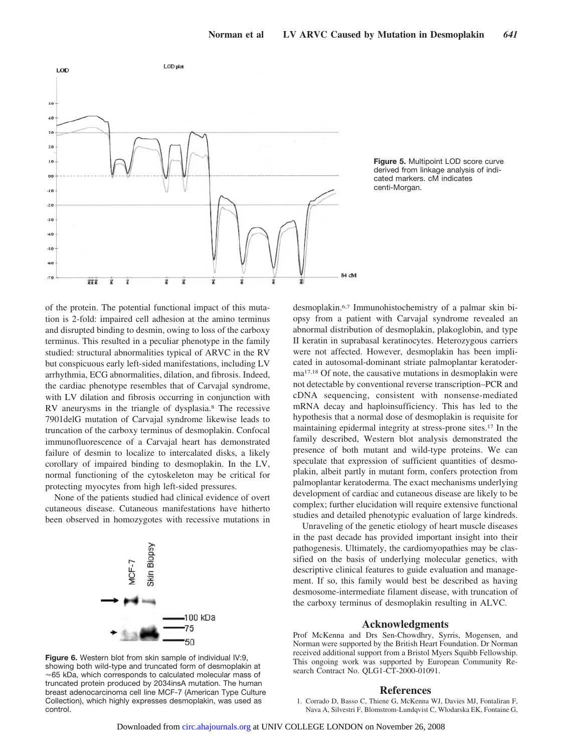

**Figure 5.** Multipoint LOD score curve derived from linkage analysis of indicated markers. cM indicates centi-Morgan.

of the protein. The potential functional impact of this mutation is 2-fold: impaired cell adhesion at the amino terminus and disrupted binding to desmin, owing to loss of the carboxy terminus. This resulted in a peculiar phenotype in the family studied: structural abnormalities typical of ARVC in the RV but conspicuous early left-sided manifestations, including LV arrhythmia, ECG abnormalities, dilation, and fibrosis. Indeed, the cardiac phenotype resembles that of Carvajal syndrome, with LV dilation and fibrosis occurring in conjunction with RV aneurysms in the triangle of dysplasia.8 The recessive 7901delG mutation of Carvajal syndrome likewise leads to truncation of the carboxy terminus of desmoplakin. Confocal immunofluorescence of a Carvajal heart has demonstrated failure of desmin to localize to intercalated disks, a likely corollary of impaired binding to desmoplakin. In the LV, normal functioning of the cytoskeleton may be critical for protecting myocytes from high left-sided pressures.

None of the patients studied had clinical evidence of overt cutaneous disease. Cutaneous manifestations have hitherto been observed in homozygotes with recessive mutations in



**Figure 6.** Western blot from skin sample of individual IV:9, showing both wild-type and truncated form of desmoplakin at  $\approx$  65 kDa, which corresponds to calculated molecular mass of truncated protein produced by 2034insA mutation. The human breast adenocarcinoma cell line MCF-7 (American Type Culture Collection), which highly expresses desmoplakin, was used as control.

desmoplakin.6,7 Immunohistochemistry of a palmar skin biopsy from a patient with Carvajal syndrome revealed an abnormal distribution of desmoplakin, plakoglobin, and type II keratin in suprabasal keratinocytes. Heterozygous carriers were not affected. However, desmoplakin has been implicated in autosomal-dominant striate palmoplantar keratoderma17,18 Of note, the causative mutations in desmoplakin were not detectable by conventional reverse transcription–PCR and cDNA sequencing, consistent with nonsense-mediated mRNA decay and haploinsufficiency. This has led to the hypothesis that a normal dose of desmoplakin is requisite for maintaining epidermal integrity at stress-prone sites.17 In the family described, Western blot analysis demonstrated the presence of both mutant and wild-type proteins. We can speculate that expression of sufficient quantities of desmoplakin, albeit partly in mutant form, confers protection from palmoplantar keratoderma. The exact mechanisms underlying development of cardiac and cutaneous disease are likely to be complex; further elucidation will require extensive functional studies and detailed phenotypic evaluation of large kindreds.

Unraveling of the genetic etiology of heart muscle diseases in the past decade has provided important insight into their pathogenesis. Ultimately, the cardiomyopathies may be classified on the basis of underlying molecular genetics, with descriptive clinical features to guide evaluation and management. If so, this family would best be described as having desmosome-intermediate filament disease, with truncation of the carboxy terminus of desmoplakin resulting in ALVC.

#### **Acknowledgments**

Prof McKenna and Drs Sen-Chowdhry, Syrris, Mogensen, and Norman were supported by the British Heart Foundation. Dr Norman received additional support from a Bristol Myers Squibb Fellowship. This ongoing work was supported by European Community Research Contract No. QLG1-CT-2000-01091.

#### **References**

1. Corrado D, Basso C, Thiene G, McKenna WJ, Davies MJ, Fontaliran F, Nava A, Silvestri F, Blomstrom-Lundqvist C, Wlodarska EK, Fontaine G,